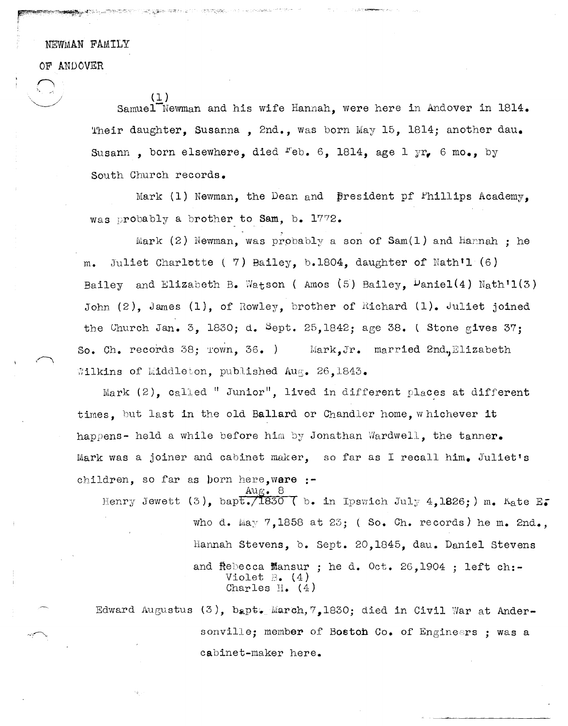NEWMAN FAMILY

OF ANDOVER

 $\sum$ 

 $\bigcirc$   $\qquad \qquad \underbrace{(1)}$ Samuel<sup>-</sup>Newman and his wife Hannah, were here in Andover in 1814. Their daughter, Susanna, 2nd., was born May 15, 1814; another dau. Susann, born elsewhere, died <sup>r'</sup>eb. 6, 1814, age 1 yr, 6 mo., by South Church records.

> Mark (1) Newman, the Dean and  $\beta$ resident pf l'hillips Academy, was probably a brother to Sam, b. 1772.

Mark (2) Newman, was probably a son of Sam(1) and Hannah ; he m. Juliet Charlotte ( 7) Bailey, b.1804, daughter of Nath'l  $(6)$ Bailey and Elizabeth B. Watson (Amos (5) Bailey,  $\frac{L}{2}$  aniel(4) Nath<sup>1</sup>1(3) John  $(2)$ , James  $(1)$ , of Rowley, brother of Richard  $(1)$ . Juliet joined the Church Jan. 3, 1830; d. Sept. 25,1842; age 38.  $\overline{S}$  Stone gives 37; So. Ch. records 38;  $r = 36.$  ) Mark, Jr. married 2nd. Elizabeth  $\texttt{Wilkins}$  of Middleton, published Aug. 26,1843.

Mark  $(2)$ , called "Junior", lived in different places at different times. but last in the old Ballard or Chandler home, whichever it happens- held a while before him by Jonathan Wardwell, the tanner. Mark was a joiner and cabinet maker, so far as I recall him. Juliet's children. so far as born here, ware :-

Henry Jewett (3), bapt./1830 ( b. in Ipswich July 4,1826;) m. Kate E. who d. May  $7,1858$  at 23; (So. Ch. records) he m. 2nd., Hannah Stevens, b. Sept. 20,1845, dau. Daniel stevens and Rebecca Mansur; he d. Oct. 26.1904 : left ch:-Violet  $\mathbb{B}$ . (4) Charles  $H$ . (4)

Edward Augustus (3), bapt. March,  $7,1830$ ; died in Civil War at Andersonville; member of Boston Co. of Engineers ; was a cabinet-maker here.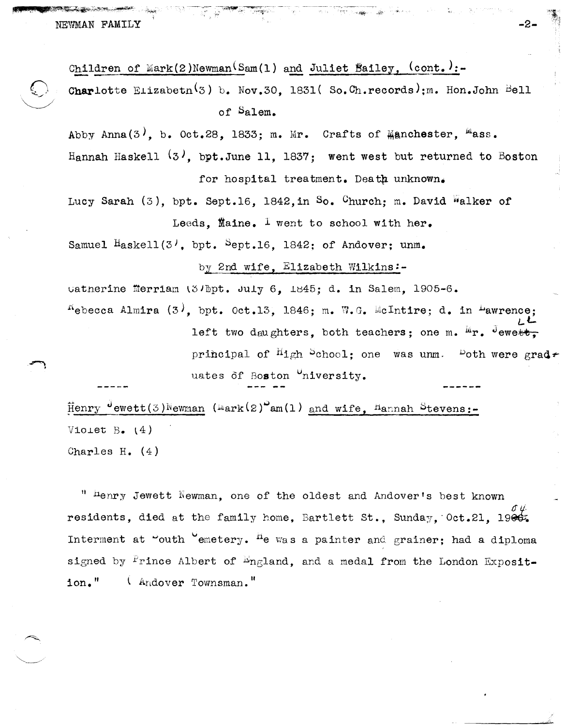NEWMAN FAMILY

Children of Mark(2)Newman<sup>(Sam(1)</sup> and Juliet Bailey,  $(cont.):-$ Charlotte Elizabeth<sup>(3)</sup> b. Nov.30, 1831(So.Ch.records); m. Hon.John Bell of Salem.

Abby Anna(3), b. Oct.28, 1833; m. Mr. Crafts of Manchester,  $M$ ass. Hannah Haskell  $(3)$ , bpt. June 11, 1837; went west but returned to Boston for hospital treatment. Death unknown.

Lucy Sarah (3), bpt. Sept.16, 1842.in So. Church: m. David Walker of Leeds, Maine. I went to school with her.

Samuel  $H$ askell(3<sup>1</sup>, bpt.  $5$ ept.16, 1842; of Andover; unm.

## by 2nd wife, Elizabeth Wilkins:-

uatherine Merriam (3Jbpt. July 6, 1845; d. in Salem, 1905-6.  $f^{\text{K}}$ ebecca Almira (3), bpt. Oct.13, 1846; m. W.G. McIntire; d. in <sup>L</sup>awrence; left two daughters, both teachers: one m. Mr. Jewett.

> principal of  ${}^{H}$ igh  ${}^{S}$ chool: one was unm. Poth were grad $\tau$ uates of Boston "niversity.

 $\sim 10$ 

 $\text{Henry}$  Jewett(3) Newman (Mark(2) am(1) and wife, Hannah Stevens:-Violet B.  $(4)$ 

Charles H.  $(4)$ 

" henry Jewett Newman, one of the oldest and Andover's best known residents, died at the family home, Bartlett St., Sunday, Oct.21, 1966. Interment at "outh "emetery. <sup>H</sup>e was a painter and grainer; had a diploma signed by  $\frac{P}{r}$ ince Albert of  $\frac{L}{r}$ ngland, and a medal from the London Exposit $ion.$ " (Andover Townsman."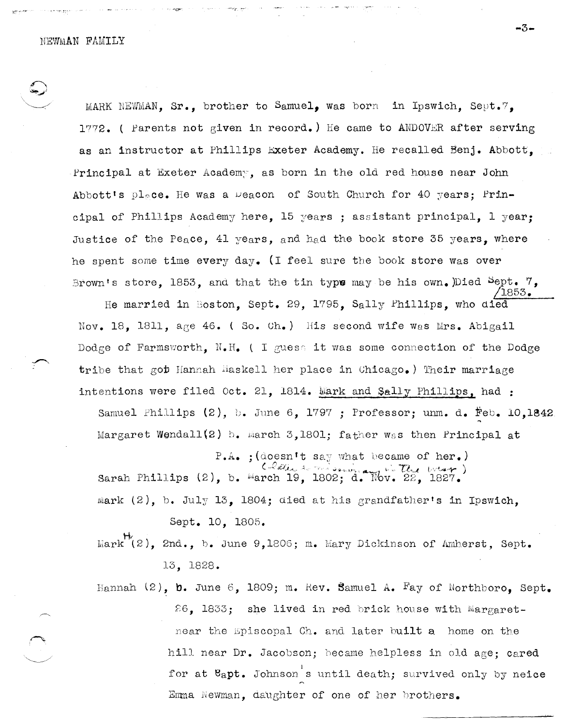MARK NEWMAN,  $Sr_{\bullet}$ , brother to Samuel, was born in Ipswich. Sept.7. *lryry2.* ( Parents not given in record.) He came to ANDOVER after serving as an instructor at Phillips Exeter Academy. He recalled Benj. Abbott, Principal at Exeter Academy, as born in the old red house near John Abbott's place. He was a weacon of South Church for 40 years; Principal of Phillips Academy here. 15 years ; assistant principal. 1 year: Justice of the Peace, 41 years, and had the book store 35 years, where he spent some time every day. (I feel sure the book store was over Brown's store, 1853, and that the tin type may be his own.)Died  $\varepsilon_{\text{ept.}}$  7,

He married in Boston, Sept. 29, 1795, Sally Phillips, who died Nov. 18, 1811, age 46. (So. Ch.) His second wife was Mrs. Abigail Dodge of Farmsworth, N.H. ( I guess it was some connection of the Dodge tribe that got Hannah maskell her place in Chicago.) Their marriage intentions were filed Oct. 21, 1814. Mark and Sally Phillips, had:

Samuel Phillips (2), b. June 6, 1797 ; Professor; unm. d. Feb. 10,1842 Margaret Wendall(2) b. March 3,1801; father was then Principal at

 $P.A.$  ; (doesn't say what became of her.) Sarah Phillips  $(2)$ , b. March 19, 1802; d. Nov. 22, 1827. mark (2), b. July 13, 1804; died at his grandfather's in Ipswich,

Sept. 10, 1805.

 $\text{Mark}^{\mathcal{H}}(2)$ , 2nd., b. June 9,1806; m. Mary Dickinson of Amherst, Sept. 13, 1828.

Hannah (2), **b.** June 6, 1809; m. Rev. Samuel A. Fay of Northboro, Sept.  $26$ , 1833; she lived in red brick house with Mar $g$ aretnear the Episcopal Ch. and later built a home on the hill near Dr. Jacobson; became helpless in old age; cared for at  $e_{a}$ pt. Johnson's until death; survived only by neice Emma Newman, daughter of one of her brothers.

/1853.